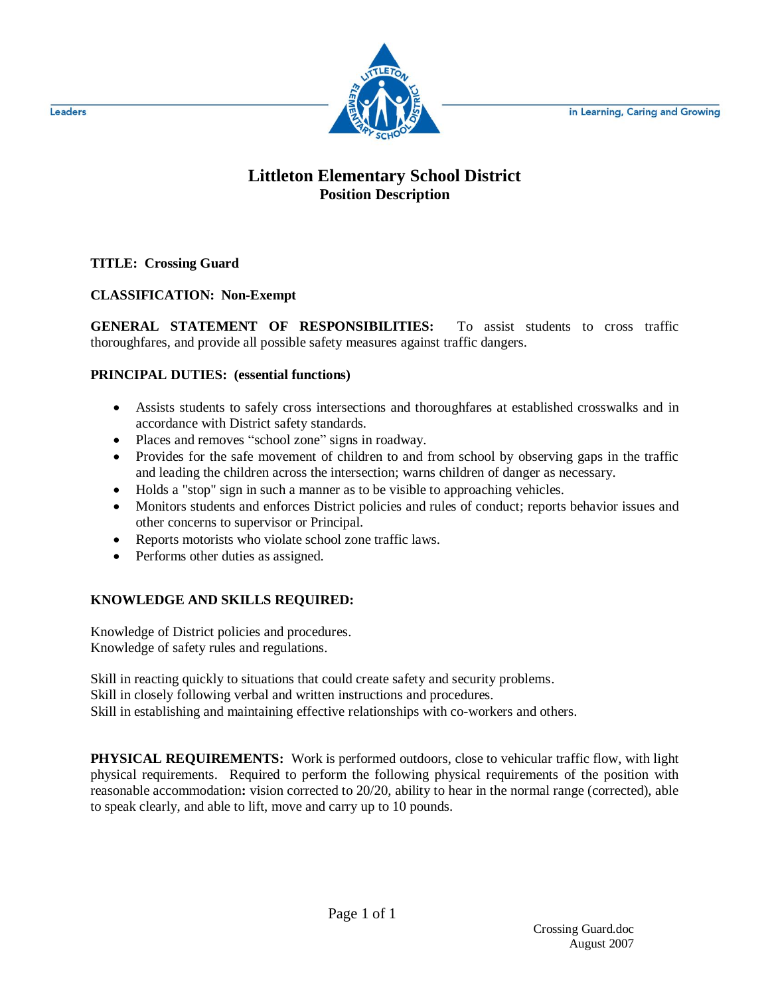in Learning, Caring and Growing



## **Littleton Elementary School District Position Description**

**TITLE: Crossing Guard**

## **CLASSIFICATION: Non-Exempt**

**GENERAL STATEMENT OF RESPONSIBILITIES:** To assist students to cross traffic thoroughfares, and provide all possible safety measures against traffic dangers.

## **PRINCIPAL DUTIES: (essential functions)**

- Assists students to safely cross intersections and thoroughfares at established crosswalks and in accordance with District safety standards.
- Places and removes "school zone" signs in roadway.
- Provides for the safe movement of children to and from school by observing gaps in the traffic and leading the children across the intersection; warns children of danger as necessary.
- Holds a "stop" sign in such a manner as to be visible to approaching vehicles.
- Monitors students and enforces District policies and rules of conduct; reports behavior issues and other concerns to supervisor or Principal.
- Reports motorists who violate school zone traffic laws.
- Performs other duties as assigned.

## **KNOWLEDGE AND SKILLS REQUIRED:**

Knowledge of District policies and procedures. Knowledge of safety rules and regulations.

Skill in reacting quickly to situations that could create safety and security problems.

Skill in closely following verbal and written instructions and procedures.

Skill in establishing and maintaining effective relationships with co-workers and others.

**PHYSICAL REQUIREMENTS:** Work is performed outdoors, close to vehicular traffic flow, with light physical requirements. Required to perform the following physical requirements of the position with reasonable accommodation**:** vision corrected to 20/20, ability to hear in the normal range (corrected), able to speak clearly, and able to lift, move and carry up to 10 pounds.

Leaders